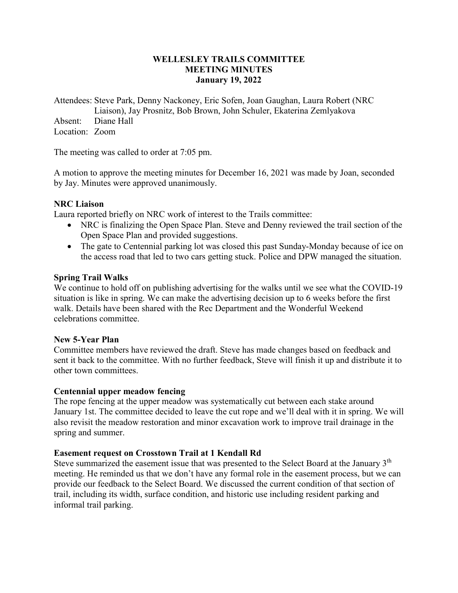## **WELLESLEY TRAILS COMMITTEE MEETING MINUTES January 19, 2022**

Attendees: Steve Park, Denny Nackoney, Eric Sofen, Joan Gaughan, Laura Robert (NRC

Liaison), Jay Prosnitz, Bob Brown, John Schuler, Ekaterina Zemlyakova Absent: Diane Hall

Location: Zoom

The meeting was called to order at 7:05 pm.

A motion to approve the meeting minutes for December 16, 2021 was made by Joan, seconded by Jay. Minutes were approved unanimously.

## **NRC Liaison**

Laura reported briefly on NRC work of interest to the Trails committee:

- NRC is finalizing the Open Space Plan. Steve and Denny reviewed the trail section of the Open Space Plan and provided suggestions.
- The gate to Centennial parking lot was closed this past Sunday-Monday because of ice on the access road that led to two cars getting stuck. Police and DPW managed the situation.

## **Spring Trail Walks**

We continue to hold off on publishing advertising for the walks until we see what the COVID-19 situation is like in spring. We can make the advertising decision up to 6 weeks before the first walk. Details have been shared with the Rec Department and the Wonderful Weekend celebrations committee.

### **New 5-Year Plan**

Committee members have reviewed the draft. Steve has made changes based on feedback and sent it back to the committee. With no further feedback, Steve will finish it up and distribute it to other town committees.

### **Centennial upper meadow fencing**

The rope fencing at the upper meadow was systematically cut between each stake around January 1st. The committee decided to leave the cut rope and we'll deal with it in spring. We will also revisit the meadow restoration and minor excavation work to improve trail drainage in the spring and summer.

# **Easement request on Crosstown Trail at 1 Kendall Rd**

Steve summarized the easement issue that was presented to the Select Board at the January 3<sup>th</sup> meeting. He reminded us that we don't have any formal role in the easement process, but we can provide our feedback to the Select Board. We discussed the current condition of that section of trail, including its width, surface condition, and historic use including resident parking and informal trail parking.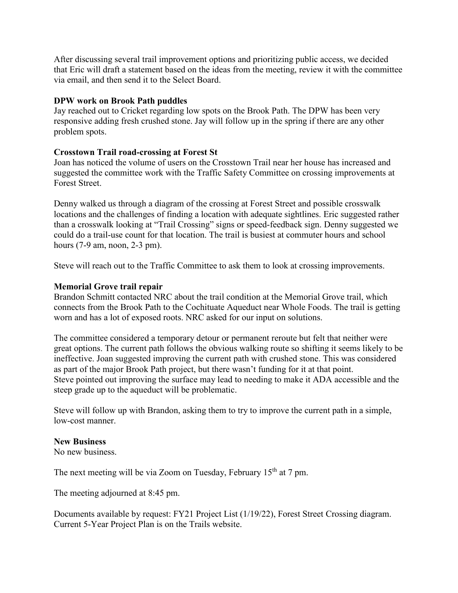After discussing several trail improvement options and prioritizing public access, we decided that Eric will draft a statement based on the ideas from the meeting, review it with the committee via email, and then send it to the Select Board.

## **DPW work on Brook Path puddles**

Jay reached out to Cricket regarding low spots on the Brook Path. The DPW has been very responsive adding fresh crushed stone. Jay will follow up in the spring if there are any other problem spots.

## **Crosstown Trail road-crossing at Forest St**

Joan has noticed the volume of users on the Crosstown Trail near her house has increased and suggested the committee work with the Traffic Safety Committee on crossing improvements at Forest Street.

Denny walked us through a diagram of the crossing at Forest Street and possible crosswalk locations and the challenges of finding a location with adequate sightlines. Eric suggested rather than a crosswalk looking at "Trail Crossing" signs or speed-feedback sign. Denny suggested we could do a trail-use count for that location. The trail is busiest at commuter hours and school hours (7-9 am, noon, 2-3 pm).

Steve will reach out to the Traffic Committee to ask them to look at crossing improvements.

## **Memorial Grove trail repair**

Brandon Schmitt contacted NRC about the trail condition at the Memorial Grove trail, which connects from the Brook Path to the Cochituate Aqueduct near Whole Foods. The trail is getting worn and has a lot of exposed roots. NRC asked for our input on solutions.

The committee considered a temporary detour or permanent reroute but felt that neither were great options. The current path follows the obvious walking route so shifting it seems likely to be ineffective. Joan suggested improving the current path with crushed stone. This was considered as part of the major Brook Path project, but there wasn't funding for it at that point. Steve pointed out improving the surface may lead to needing to make it ADA accessible and the steep grade up to the aqueduct will be problematic.

Steve will follow up with Brandon, asking them to try to improve the current path in a simple, low-cost manner.

### **New Business**

No new business.

The next meeting will be via Zoom on Tuesday, February 15<sup>th</sup> at 7 pm.

The meeting adjourned at 8:45 pm.

Documents available by request: FY21 Project List (1/19/22), Forest Street Crossing diagram. Current 5-Year Project Plan is on the Trails website.